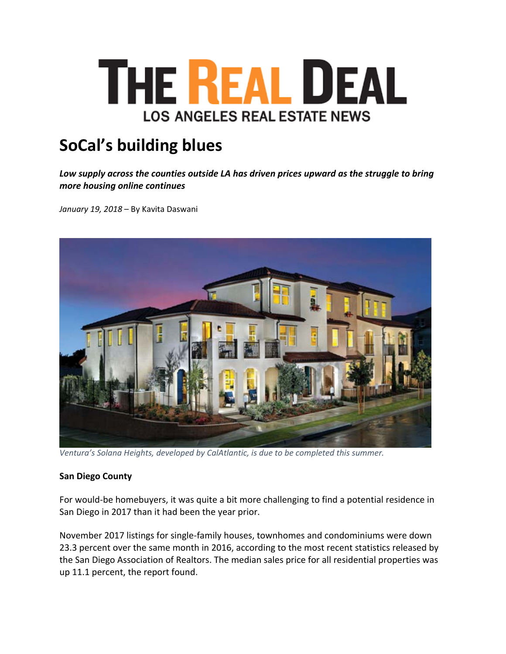

# **SoCal's building blues**

*Low supply across the counties outside LA has driven prices upward as the struggle to bring more housing online continues*

*January 19, 2018* – By Kavita Daswani



*Ventura's Solana Heights, developed by CalAtlantic, is due to be completed this summer.*

### **San Diego County**

For would‐be homebuyers, it was quite a bit more challenging to find a potential residence in San Diego in 2017 than it had been the year prior.

November 2017 listings for single‐family houses, townhomes and condominiums were down 23.3 percent over the same month in 2016, according to the most recent statistics released by the San Diego Association of Realtors. The median sales price for all residential properties was up 11.1 percent, the report found.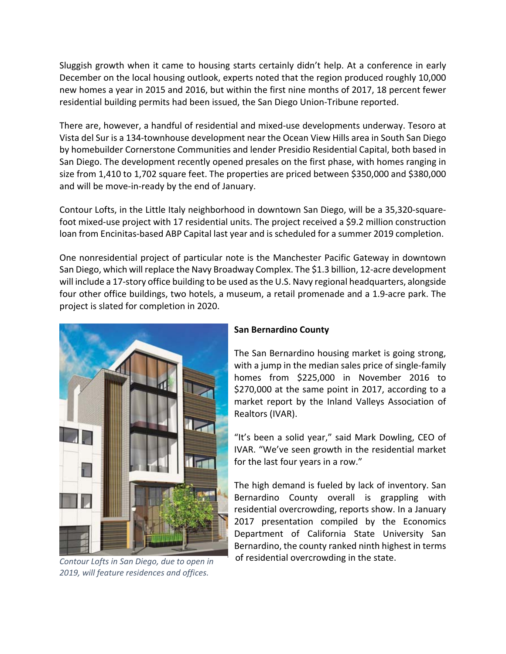Sluggish growth when it came to housing starts certainly didn't help. At a conference in early December on the local housing outlook, experts noted that the region produced roughly 10,000 new homes a year in 2015 and 2016, but within the first nine months of 2017, 18 percent fewer residential building permits had been issued, the San Diego Union‐Tribune reported.

There are, however, a handful of residential and mixed‐use developments underway. Tesoro at Vista del Sur is a 134‐townhouse development near the Ocean View Hills area in South San Diego by homebuilder Cornerstone Communities and lender Presidio Residential Capital, both based in San Diego. The development recently opened presales on the first phase, with homes ranging in size from 1,410 to 1,702 square feet. The properties are priced between \$350,000 and \$380,000 and will be move‐in‐ready by the end of January.

Contour Lofts, in the Little Italy neighborhood in downtown San Diego, will be a 35,320-squarefoot mixed-use project with 17 residential units. The project received a \$9.2 million construction loan from Encinitas‐based ABP Capital last year and is scheduled for a summer 2019 completion.

One nonresidential project of particular note is the Manchester Pacific Gateway in downtown San Diego, which will replace the Navy Broadway Complex. The \$1.3 billion, 12‐acre development will include a 17-story office building to be used as the U.S. Navy regional headquarters, alongside four other office buildings, two hotels, a museum, a retail promenade and a 1.9‐acre park. The project is slated for completion in 2020.



*2019, will feature residences and offices.*

## **San Bernardino County**

The San Bernardino housing market is going strong, with a jump in the median sales price of single‐family homes from \$225,000 in November 2016 to \$270,000 at the same point in 2017, according to a market report by the Inland Valleys Association of Realtors (IVAR).

"It's been a solid year," said Mark Dowling, CEO of IVAR. "We've seen growth in the residential market for the last four years in a row."

The high demand is fueled by lack of inventory. San Bernardino County overall is grappling with residential overcrowding, reports show. In a January 2017 presentation compiled by the Economics Department of California State University San Bernardino, the county ranked ninth highest in terms of residential overcrowding in the state. *Contour Lofts in San Diego, due to open in*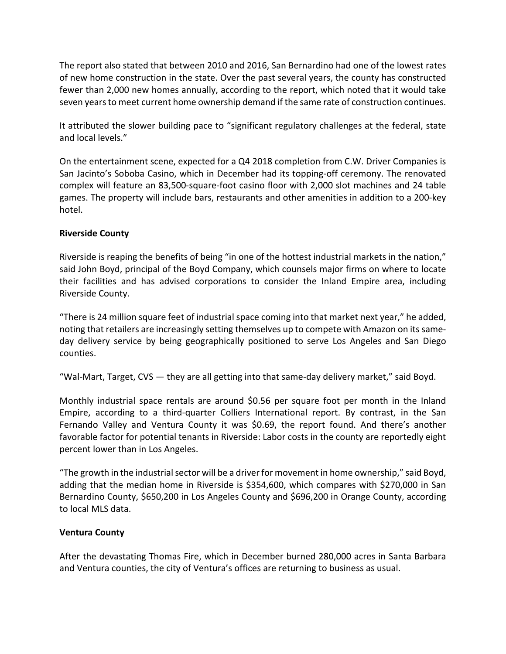The report also stated that between 2010 and 2016, San Bernardino had one of the lowest rates of new home construction in the state. Over the past several years, the county has constructed fewer than 2,000 new homes annually, according to the report, which noted that it would take seven years to meet current home ownership demand if the same rate of construction continues.

It attributed the slower building pace to "significant regulatory challenges at the federal, state and local levels."

On the entertainment scene, expected for a Q4 2018 completion from C.W. Driver Companies is San Jacinto's Soboba Casino, which in December had its topping‐off ceremony. The renovated complex will feature an 83,500‐square‐foot casino floor with 2,000 slot machines and 24 table games. The property will include bars, restaurants and other amenities in addition to a 200‐key hotel.

## **Riverside County**

Riverside is reaping the benefits of being "in one of the hottest industrial markets in the nation," said John Boyd, principal of the Boyd Company, which counsels major firms on where to locate their facilities and has advised corporations to consider the Inland Empire area, including Riverside County.

"There is 24 million square feet of industrial space coming into that market next year," he added, noting that retailers are increasingly setting themselves up to compete with Amazon on its sameday delivery service by being geographically positioned to serve Los Angeles and San Diego counties.

"Wal‐Mart, Target, CVS — they are all getting into that same‐day delivery market," said Boyd.

Monthly industrial space rentals are around \$0.56 per square foot per month in the Inland Empire, according to a third-quarter Colliers International report. By contrast, in the San Fernando Valley and Ventura County it was \$0.69, the report found. And there's another favorable factor for potential tenants in Riverside: Labor costs in the county are reportedly eight percent lower than in Los Angeles.

"The growth in the industrial sector will be a driver for movement in home ownership," said Boyd, adding that the median home in Riverside is \$354,600, which compares with \$270,000 in San Bernardino County, \$650,200 in Los Angeles County and \$696,200 in Orange County, according to local MLS data.

## **Ventura County**

After the devastating Thomas Fire, which in December burned 280,000 acres in Santa Barbara and Ventura counties, the city of Ventura's offices are returning to business as usual.